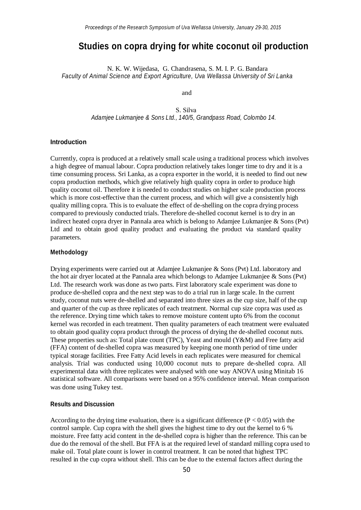# **Studies on copra drying for white coconut oil production**

 N. K. W. Wijedasa, G. Chandrasena, S. M. I. P. G. Bandara *Faculty of Animal Science and Export Agriculture, Uva Wellassa University of Sri Lanka*

and

S. Silva  *Adamjee Lukmanjee & Sons Ltd., 140/5, Grandpass Road, Colombo 14.*

## **Introduction**

Currently, copra is produced at a relatively small scale using a traditional process which involves a high degree of manual labour. Copra production relatively takes longer time to dry and it is a time consuming process. Sri Lanka, as a copra exporter in the world, it is needed to find out new copra production methods, which give relatively high quality copra in order to produce high quality coconut oil. Therefore it is needed to conduct studies on higher scale production process which is more cost-effective than the current process, and which will give a consistently high quality milling copra. This is to evaluate the effect of de-shelling on the copra drying process compared to previously conducted trials. Therefore de-shelled coconut kernel is to dry in an indirect heated copra dryer in Pannala area which is belong to Adamjee Lukmanjee & Sons (Pvt) Ltd and to obtain good quality product and evaluating the product via standard quality parameters.

### **Methodology**

Drying experiments were carried out at Adamjee Lukmanjee & Sons (Pvt) Ltd. laboratory and the hot air dryer located at the Pannala area which belongs to Adamjee Lukmanjee & Sons (Pvt) Ltd. The research work was done as two parts. First laboratory scale experiment was done to produce de-shelled copra and the next step was to do a trial run in large scale. In the current study, coconut nuts were de-shelled and separated into three sizes as the cup size, half of the cup and quarter of the cup as three replicates of each treatment. Normal cup size copra was used as the reference. Drying time which takes to remove moisture content upto 6% from the coconut kernel was recorded in each treatment. Then quality parameters of each treatment were evaluated to obtain good quality copra product through the process of drying the de-shelled coconut nuts. These properties such as: Total plate count (TPC), Yeast and mould (Y&M) and Free fatty acid (FFA) content of de-shelled copra was measured by keeping one month period of time under typical storage facilities. Free Fatty Acid levels in each replicates were measured for chemical analysis. Trial was conducted using 10,000 coconut nuts to prepare de-shelled copra. All experimental data with three replicates were analysed with one way ANOVA using Minitab 16 statistical software. All comparisons were based on a 95% confidence interval. Mean comparison was done using Tukey test.

#### **Results and Discussion**

According to the drying time evaluation, there is a significant difference ( $P < 0.05$ ) with the control sample. Cup copra with the shell gives the highest time to dry out the kernel to 6 % moisture. Free fatty acid content in the de-shelled copra is higher than the reference. This can be due do the removal of the shell. But FFA is at the required level of standard milling copra used to make oil. Total plate count is lower in control treatment. It can be noted that highest TPC resulted in the cup copra without shell. This can be due to the external factors affect during the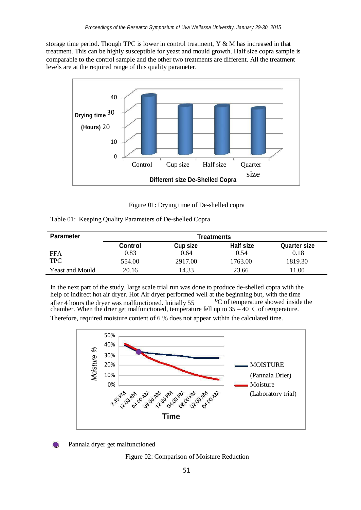storage time period. Though TPC is lower in control treatment, Y & M has increased in that treatment. This can be highly susceptible for yeast and mould growth. Half size copra sample is comparable to the control sample and the other two treatments are different. All the treatment levels are at the required range of this quality parameter.



Figure 01: Drying time of De-shelled copra

|  |  |  |  | Table 01: Keeping Quality Parameters of De-shelled Copra |  |
|--|--|--|--|----------------------------------------------------------|--|
|--|--|--|--|----------------------------------------------------------|--|

| <b>Parameter</b>       | <b>Treatments</b> |                 |           |                     |  |  |
|------------------------|-------------------|-----------------|-----------|---------------------|--|--|
|                        | Control           | <b>Cup size</b> | Half size | <b>Quarter size</b> |  |  |
| FFA                    | 0.83              | 0.64            | 0.54      | 0.18                |  |  |
| <b>TPC</b>             | 554.00            | 2917.00         | 1763.00   | 1819.30             |  |  |
| <b>Yeast and Mould</b> | 20.16             | 14.33           | 23.66     | 1.00                |  |  |

after 4 hours the dryer was malfunctioned. Initially 55 In the next part of the study, large scale trial run was done to produce de-shelled copra with the help of indirect hot air dryer. Hot Air dryer performed well at the beginning but, with the time <sup>o</sup>C of temperature showed inside the chamber. When the drier get malfunctioned, temperature fell up to  $35 - 40$  C of temperature. Therefore, required moisture content of 6 % does not appear within the calculated time.

50% 40% *%*30% *Moisture* 20% MOISTURE 10% (Pannala Drier) 2 ASSRY Moisture 02:00 pM DAN DAN 12:00 our 08-00 02.00 04.00 AM 04.00 pm 12.00 pM 04.00 pp. (Laboratory trial) **Time**

Pannala dryer get malfunctioned

Figure 02: Comparison of Moisture Reduction